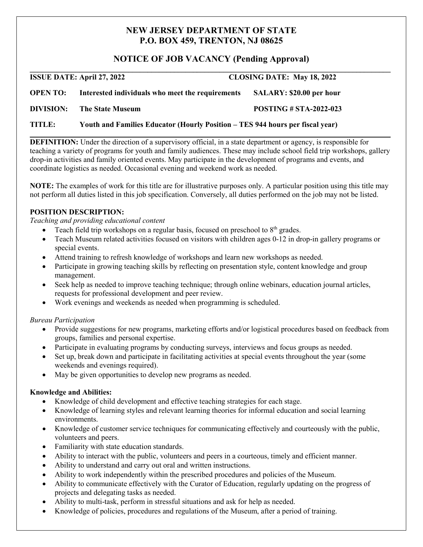# **NEW JERSEY DEPARTMENT OF STATE P.O. BOX 459, TRENTON, NJ 08625**

## **NOTICE OF JOB VACANCY (Pending Approval)**

**\_\_\_\_\_\_\_\_\_\_\_\_\_\_\_\_\_\_\_\_\_\_\_\_\_\_\_\_\_\_\_\_\_\_\_\_\_\_\_\_\_\_\_\_\_\_\_\_\_\_\_\_\_\_\_\_\_\_\_\_\_\_\_\_\_\_\_\_\_\_\_\_\_\_\_\_\_\_\_\_\_\_\_\_\_\_\_\_\_\_\_\_\_\_\_ ISSUE DATE: April 27, 2022 CLOSING DATE: May 18, 2022 OPEN TO: Interested individuals who meet the requirements SALARY: \$20.00 per hour DIVISION: The State Museum POSTING # STA-2022-023**

**TITLE: Youth and Families Educator (Hourly Position – TES 944 hours per fiscal year)**

**DEFINITION:** Under the direction of a supervisory official, in a state department or agency, is responsible for teaching a variety of programs for youth and family audiences. These may include school field trip workshops, gallery drop-in activities and family oriented events. May participate in the development of programs and events, and coordinate logistics as needed. Occasional evening and weekend work as needed.

**\_\_\_\_\_\_\_\_\_\_\_\_\_\_\_\_\_\_\_\_\_\_\_\_\_\_\_\_\_\_\_\_\_\_\_\_\_\_\_\_\_\_\_\_\_\_\_\_\_\_\_\_\_\_\_\_\_\_\_\_\_\_\_\_\_\_\_\_\_\_\_\_\_\_\_\_\_\_\_\_\_\_\_\_\_\_\_\_\_\_\_\_\_\_\_**

**NOTE:** The examples of work for this title are for illustrative purposes only. A particular position using this title may not perform all duties listed in this job specification. Conversely, all duties performed on the job may not be listed.

### **POSITION DESCRIPTION:**

*Teaching and providing educational content*

- Teach field trip workshops on a regular basis, focused on preschool to  $8<sup>th</sup>$  grades.
- Teach Museum related activities focused on visitors with children ages 0-12 in drop-in gallery programs or special events.
- Attend training to refresh knowledge of workshops and learn new workshops as needed.
- Participate in growing teaching skills by reflecting on presentation style, content knowledge and group management.
- Seek help as needed to improve teaching technique; through online webinars, education journal articles, requests for professional development and peer review.
- Work evenings and weekends as needed when programming is scheduled.

### *Bureau Participation*

- Provide suggestions for new programs, marketing efforts and/or logistical procedures based on feedback from groups, families and personal expertise.
- Participate in evaluating programs by conducting surveys, interviews and focus groups as needed.
- Set up, break down and participate in facilitating activities at special events throughout the year (some weekends and evenings required).
- May be given opportunities to develop new programs as needed.

### **Knowledge and Abilities:**

- Knowledge of child development and effective teaching strategies for each stage.
- Knowledge of learning styles and relevant learning theories for informal education and social learning environments.
- Knowledge of customer service techniques for communicating effectively and courteously with the public, volunteers and peers.
- Familiarity with state education standards.
- Ability to interact with the public, volunteers and peers in a courteous, timely and efficient manner.
- Ability to understand and carry out oral and written instructions.
- Ability to work independently within the prescribed procedures and policies of the Museum.
- Ability to communicate effectively with the Curator of Education, regularly updating on the progress of projects and delegating tasks as needed.
- Ability to multi-task, perform in stressful situations and ask for help as needed.
- Knowledge of policies, procedures and regulations of the Museum, after a period of training.